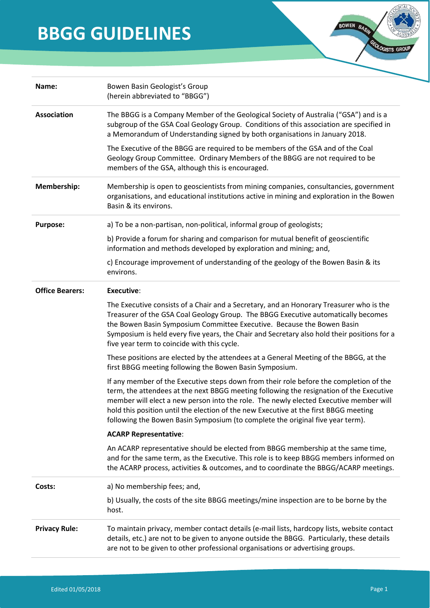# **BBGG GUIDELINES**

| Name:                  | Bowen Basin Geologist's Group<br>(herein abbreviated to "BBGG")                                                                                                                                                                                                                                                                                                                                                                                      |
|------------------------|------------------------------------------------------------------------------------------------------------------------------------------------------------------------------------------------------------------------------------------------------------------------------------------------------------------------------------------------------------------------------------------------------------------------------------------------------|
| <b>Association</b>     | The BBGG is a Company Member of the Geological Society of Australia ("GSA") and is a<br>subgroup of the GSA Coal Geology Group. Conditions of this association are specified in<br>a Memorandum of Understanding signed by both organisations in January 2018.                                                                                                                                                                                       |
|                        | The Executive of the BBGG are required to be members of the GSA and of the Coal<br>Geology Group Committee. Ordinary Members of the BBGG are not required to be<br>members of the GSA, although this is encouraged.                                                                                                                                                                                                                                  |
| Membership:            | Membership is open to geoscientists from mining companies, consultancies, government<br>organisations, and educational institutions active in mining and exploration in the Bowen<br>Basin & its environs.                                                                                                                                                                                                                                           |
| <b>Purpose:</b>        | a) To be a non-partisan, non-political, informal group of geologists;                                                                                                                                                                                                                                                                                                                                                                                |
|                        | b) Provide a forum for sharing and comparison for mutual benefit of geoscientific<br>information and methods developed by exploration and mining; and,                                                                                                                                                                                                                                                                                               |
|                        | c) Encourage improvement of understanding of the geology of the Bowen Basin & its<br>environs.                                                                                                                                                                                                                                                                                                                                                       |
| <b>Office Bearers:</b> | <b>Executive:</b>                                                                                                                                                                                                                                                                                                                                                                                                                                    |
|                        | The Executive consists of a Chair and a Secretary, and an Honorary Treasurer who is the<br>Treasurer of the GSA Coal Geology Group. The BBGG Executive automatically becomes<br>the Bowen Basin Symposium Committee Executive. Because the Bowen Basin<br>Symposium is held every five years, the Chair and Secretary also hold their positions for a<br>five year term to coincide with this cycle.                                                 |
|                        | These positions are elected by the attendees at a General Meeting of the BBGG, at the<br>first BBGG meeting following the Bowen Basin Symposium.                                                                                                                                                                                                                                                                                                     |
|                        | If any member of the Executive steps down from their role before the completion of the<br>term, the attendees at the next BBGG meeting following the resignation of the Executive<br>member will elect a new person into the role. The newly elected Executive member will<br>hold this position until the election of the new Executive at the first BBGG meeting<br>following the Bowen Basin Symposium (to complete the original five year term). |
|                        | <b>ACARP Representative:</b>                                                                                                                                                                                                                                                                                                                                                                                                                         |
|                        | An ACARP representative should be elected from BBGG membership at the same time,<br>and for the same term, as the Executive. This role is to keep BBGG members informed on<br>the ACARP process, activities & outcomes, and to coordinate the BBGG/ACARP meetings.                                                                                                                                                                                   |
| Costs:                 | a) No membership fees; and,                                                                                                                                                                                                                                                                                                                                                                                                                          |
|                        | b) Usually, the costs of the site BBGG meetings/mine inspection are to be borne by the<br>host.                                                                                                                                                                                                                                                                                                                                                      |
| <b>Privacy Rule:</b>   | To maintain privacy, member contact details (e-mail lists, hardcopy lists, website contact<br>details, etc.) are not to be given to anyone outside the BBGG. Particularly, these details<br>are not to be given to other professional organisations or advertising groups.                                                                                                                                                                           |
|                        |                                                                                                                                                                                                                                                                                                                                                                                                                                                      |

 $ICALS$ 

GEOLOGISTS GR

BOWEN BASIN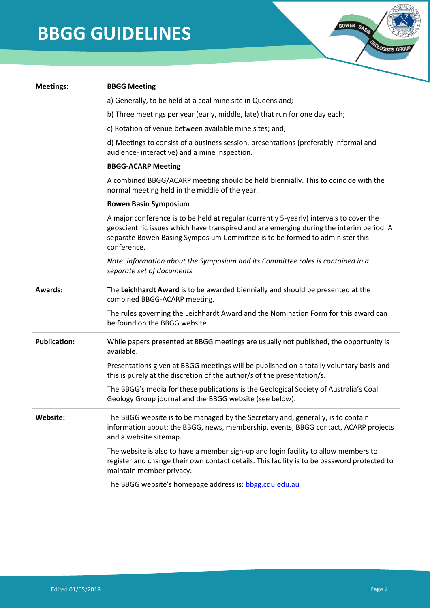# **BBGG GUIDELINES**

| <b>Meetings:</b>    | <b>BBGG Meeting</b>                                                                                                                                                                                                                                                                |
|---------------------|------------------------------------------------------------------------------------------------------------------------------------------------------------------------------------------------------------------------------------------------------------------------------------|
|                     | a) Generally, to be held at a coal mine site in Queensland;                                                                                                                                                                                                                        |
|                     | b) Three meetings per year (early, middle, late) that run for one day each;                                                                                                                                                                                                        |
|                     | c) Rotation of venue between available mine sites; and,                                                                                                                                                                                                                            |
|                     | d) Meetings to consist of a business session, presentations (preferably informal and<br>audience- interactive) and a mine inspection.                                                                                                                                              |
|                     | <b>BBGG-ACARP Meeting</b>                                                                                                                                                                                                                                                          |
|                     | A combined BBGG/ACARP meeting should be held biennially. This to coincide with the<br>normal meeting held in the middle of the year.                                                                                                                                               |
|                     | <b>Bowen Basin Symposium</b>                                                                                                                                                                                                                                                       |
|                     | A major conference is to be held at regular (currently 5-yearly) intervals to cover the<br>geoscientific issues which have transpired and are emerging during the interim period. A<br>separate Bowen Basing Symposium Committee is to be formed to administer this<br>conference. |
|                     | Note: information about the Symposium and its Committee roles is contained in a<br>separate set of documents                                                                                                                                                                       |
| <b>Awards:</b>      | The Leichhardt Award is to be awarded biennially and should be presented at the<br>combined BBGG-ACARP meeting.                                                                                                                                                                    |
|                     | The rules governing the Leichhardt Award and the Nomination Form for this award can<br>be found on the BBGG website.                                                                                                                                                               |
| <b>Publication:</b> | While papers presented at BBGG meetings are usually not published, the opportunity is<br>available.                                                                                                                                                                                |
|                     | Presentations given at BBGG meetings will be published on a totally voluntary basis and<br>this is purely at the discretion of the author/s of the presentation/s.                                                                                                                 |
|                     | The BBGG's media for these publications is the Geological Society of Australia's Coal<br>Geology Group journal and the BBGG website (see below).                                                                                                                                   |
| Website:            | The BBGG website is to be managed by the Secretary and, generally, is to contain<br>information about: the BBGG, news, membership, events, BBGG contact, ACARP projects<br>and a website sitemap.                                                                                  |
|                     | The website is also to have a member sign-up and login facility to allow members to<br>register and change their own contact details. This facility is to be password protected to<br>maintain member privacy.                                                                     |
|                     | The BBGG website's homepage address is: bbgg.cqu.edu.au                                                                                                                                                                                                                            |
|                     |                                                                                                                                                                                                                                                                                    |

**ICAL** 

GEOLOGISTS GR

BOWEN BASH